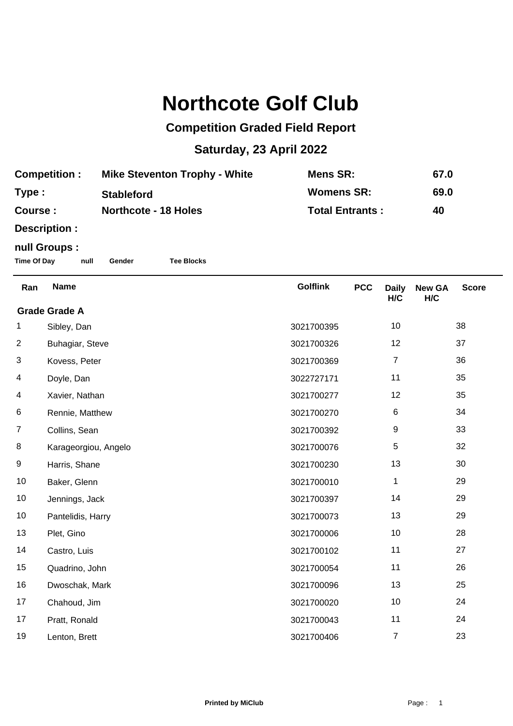## **Northcote Golf Club**

## **Competition Graded Field Report**

## **Saturday, 23 April 2022**

| <b>Competition:</b> | <b>Mike Steventon Trophy - White</b> | Mens SR:               | 67.0 |
|---------------------|--------------------------------------|------------------------|------|
| Type :              | <b>Stableford</b>                    | <b>Womens SR:</b>      | 69.0 |
| <b>Course :</b>     | <b>Northcote - 18 Holes</b>          | <b>Total Entrants:</b> | 40   |

**Description :**

## **null Groups :**

**Time Of Day null Gender Tee Blocks**

| Ran                  | <b>Name</b>          | <b>Golflink</b> | <b>PCC</b> | <b>Daily</b><br>H/C | <b>New GA</b><br>H/C | <b>Score</b> |  |
|----------------------|----------------------|-----------------|------------|---------------------|----------------------|--------------|--|
| <b>Grade Grade A</b> |                      |                 |            |                     |                      |              |  |
| 1                    | Sibley, Dan          | 3021700395      |            | 10                  |                      | 38           |  |
| $\overline{2}$       | Buhagiar, Steve      | 3021700326      |            | 12                  |                      | 37           |  |
| 3                    | Kovess, Peter        | 3021700369      |            | $\overline{7}$      |                      | 36           |  |
| 4                    | Doyle, Dan           | 3022727171      |            | 11                  |                      | 35           |  |
| 4                    | Xavier, Nathan       | 3021700277      |            | 12                  |                      | 35           |  |
| 6                    | Rennie, Matthew      | 3021700270      |            | 6                   |                      | 34           |  |
| $\overline{7}$       | Collins, Sean        | 3021700392      |            | 9                   |                      | 33           |  |
| 8                    | Karageorgiou, Angelo | 3021700076      |            | 5                   |                      | 32           |  |
| 9                    | Harris, Shane        | 3021700230      |            | 13                  |                      | 30           |  |
| 10                   | Baker, Glenn         | 3021700010      |            | 1                   |                      | 29           |  |
| 10                   | Jennings, Jack       | 3021700397      |            | 14                  |                      | 29           |  |
| 10                   | Pantelidis, Harry    | 3021700073      |            | 13                  |                      | 29           |  |
| 13                   | Plet, Gino           | 3021700006      |            | 10                  |                      | 28           |  |
| 14                   | Castro, Luis         | 3021700102      |            | 11                  |                      | 27           |  |
| 15                   | Quadrino, John       | 3021700054      |            | 11                  |                      | 26           |  |
| 16                   | Dwoschak, Mark       | 3021700096      |            | 13                  |                      | 25           |  |
| 17                   | Chahoud, Jim         | 3021700020      |            | 10                  |                      | 24           |  |
| 17                   | Pratt, Ronald        | 3021700043      |            | 11                  |                      | 24           |  |
| 19                   | Lenton, Brett        | 3021700406      |            | 7                   |                      | 23           |  |